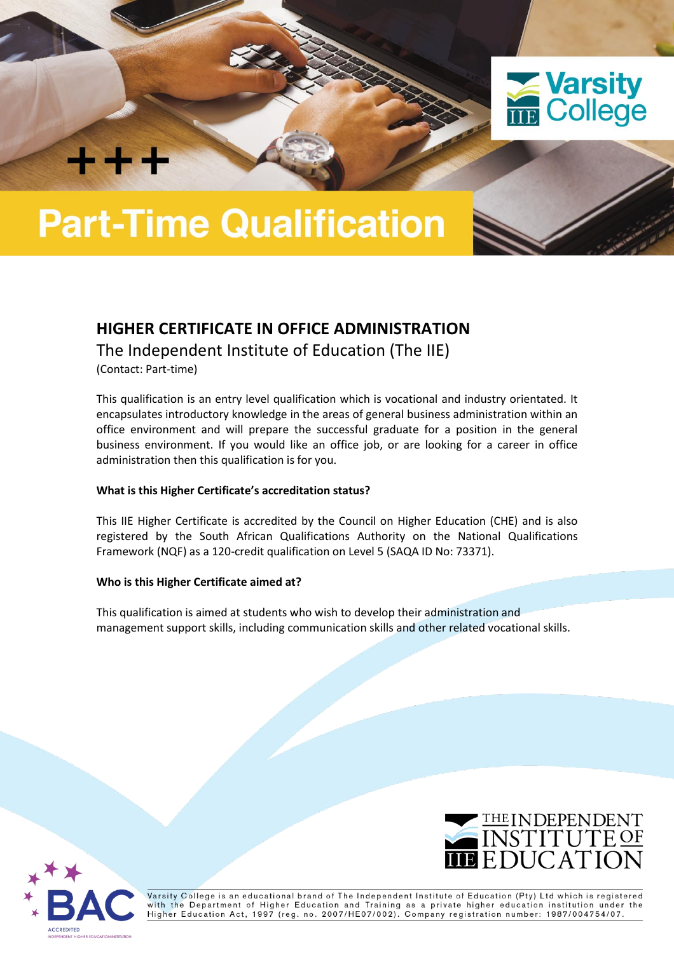

# **Part-Time Qualification**

# **HIGHER CERTIFICATE IN OFFICE ADMINISTRATION**

The Independent Institute of Education (The IIE)

(Contact: Part-time)

**THE SECTION** 

This qualification is an entry level qualification which is vocational and industry orientated. It encapsulates introductory knowledge in the areas of general business administration within an office environment and will prepare the successful graduate for a position in the general business environment. If you would like an office job, or are looking for a career in office administration then this qualification is for you.

## **What is this Higher Certificate's accreditation status?**

This IIE Higher Certificate is accredited by the Council on Higher Education (CHE) and is also registered by the South African Qualifications Authority on the National Qualifications Framework (NQF) as a 120-credit qualification on Level 5 (SAQA ID No: 73371).

## **Who is this Higher Certificate aimed at?**

This qualification is aimed at students who wish to develop their administration and management support skills, including communication skills and other related vocational skills.





Varsity College is an educational brand of The Independent Institute of Education (Pty) Ltd which is registered with the Department of Higher Education and Training as a private higher education institution under the<br>Higher Education Act, 1997 (reg. no. 2007/HE07/002). Company registration number: 1987/004754/07.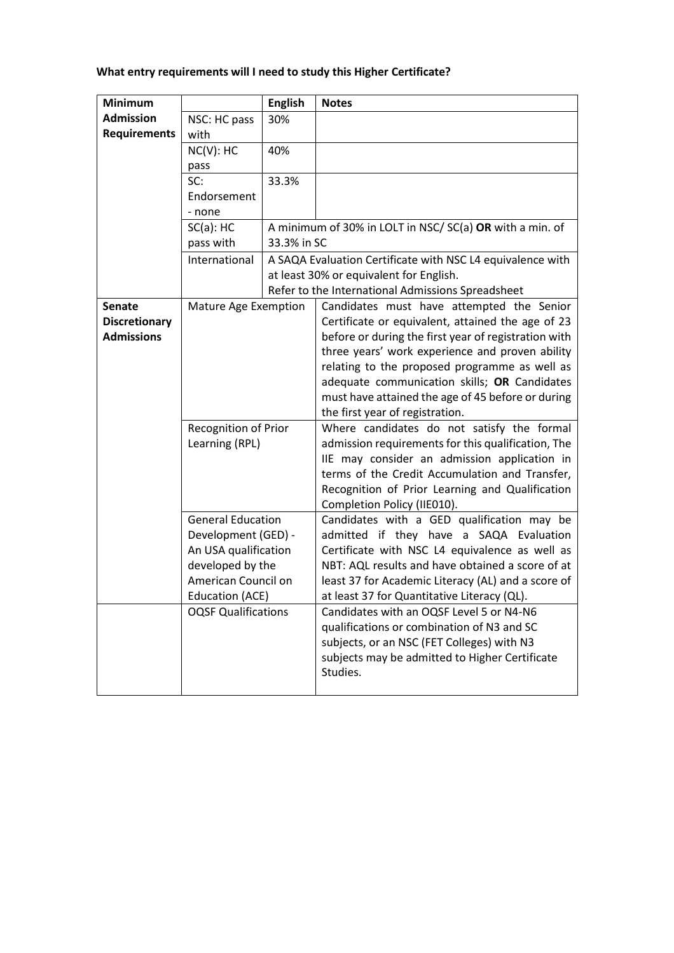# **What entry requirements will I need to study this Higher Certificate?**

| <b>Minimum</b>       |                                                                                        | <b>English</b> | <b>Notes</b>                                                                   |  |  |  |
|----------------------|----------------------------------------------------------------------------------------|----------------|--------------------------------------------------------------------------------|--|--|--|
| <b>Admission</b>     | NSC: HC pass                                                                           | 30%            |                                                                                |  |  |  |
| <b>Requirements</b>  | with                                                                                   |                |                                                                                |  |  |  |
|                      | NC(V): HC                                                                              | 40%            |                                                                                |  |  |  |
|                      | pass                                                                                   |                |                                                                                |  |  |  |
|                      | SC:                                                                                    | 33.3%          |                                                                                |  |  |  |
|                      | Endorsement                                                                            |                |                                                                                |  |  |  |
|                      | - none                                                                                 |                |                                                                                |  |  |  |
|                      | $SC(a)$ : HC                                                                           |                | A minimum of 30% in LOLT in NSC/SC(a) OR with a min. of                        |  |  |  |
|                      | pass with                                                                              | 33.3% in SC    |                                                                                |  |  |  |
|                      | International                                                                          |                | A SAQA Evaluation Certificate with NSC L4 equivalence with                     |  |  |  |
|                      |                                                                                        |                | at least 30% or equivalent for English.                                        |  |  |  |
|                      |                                                                                        |                | Refer to the International Admissions Spreadsheet                              |  |  |  |
| <b>Senate</b>        | Mature Age Exemption                                                                   |                | Candidates must have attempted the Senior                                      |  |  |  |
| <b>Discretionary</b> |                                                                                        |                | Certificate or equivalent, attained the age of 23                              |  |  |  |
| <b>Admissions</b>    |                                                                                        |                | before or during the first year of registration with                           |  |  |  |
|                      |                                                                                        |                | three years' work experience and proven ability                                |  |  |  |
|                      |                                                                                        |                | relating to the proposed programme as well as                                  |  |  |  |
|                      |                                                                                        |                | adequate communication skills; OR Candidates                                   |  |  |  |
|                      |                                                                                        |                | must have attained the age of 45 before or during                              |  |  |  |
|                      | <b>Recognition of Prior</b><br>Learning (RPL)                                          |                | the first year of registration.                                                |  |  |  |
|                      |                                                                                        |                | Where candidates do not satisfy the formal                                     |  |  |  |
|                      |                                                                                        |                | admission requirements for this qualification, The                             |  |  |  |
|                      |                                                                                        |                | IIE may consider an admission application in                                   |  |  |  |
|                      |                                                                                        |                | terms of the Credit Accumulation and Transfer,                                 |  |  |  |
|                      |                                                                                        |                | Recognition of Prior Learning and Qualification<br>Completion Policy (IIE010). |  |  |  |
|                      | <b>General Education</b>                                                               |                | Candidates with a GED qualification may be                                     |  |  |  |
|                      | Development (GED) -<br>An USA qualification<br>developed by the<br>American Council on |                | admitted if they have a SAQA Evaluation                                        |  |  |  |
|                      |                                                                                        |                | Certificate with NSC L4 equivalence as well as                                 |  |  |  |
|                      |                                                                                        |                | NBT: AQL results and have obtained a score of at                               |  |  |  |
|                      |                                                                                        |                | least 37 for Academic Literacy (AL) and a score of                             |  |  |  |
|                      | Education (ACE)                                                                        |                | at least 37 for Quantitative Literacy (QL).                                    |  |  |  |
|                      | <b>OQSF Qualifications</b>                                                             |                | Candidates with an OQSF Level 5 or N4-N6                                       |  |  |  |
|                      |                                                                                        |                | qualifications or combination of N3 and SC                                     |  |  |  |
|                      |                                                                                        |                | subjects, or an NSC (FET Colleges) with N3                                     |  |  |  |
|                      |                                                                                        |                | subjects may be admitted to Higher Certificate                                 |  |  |  |
|                      |                                                                                        |                | Studies.                                                                       |  |  |  |
|                      |                                                                                        |                |                                                                                |  |  |  |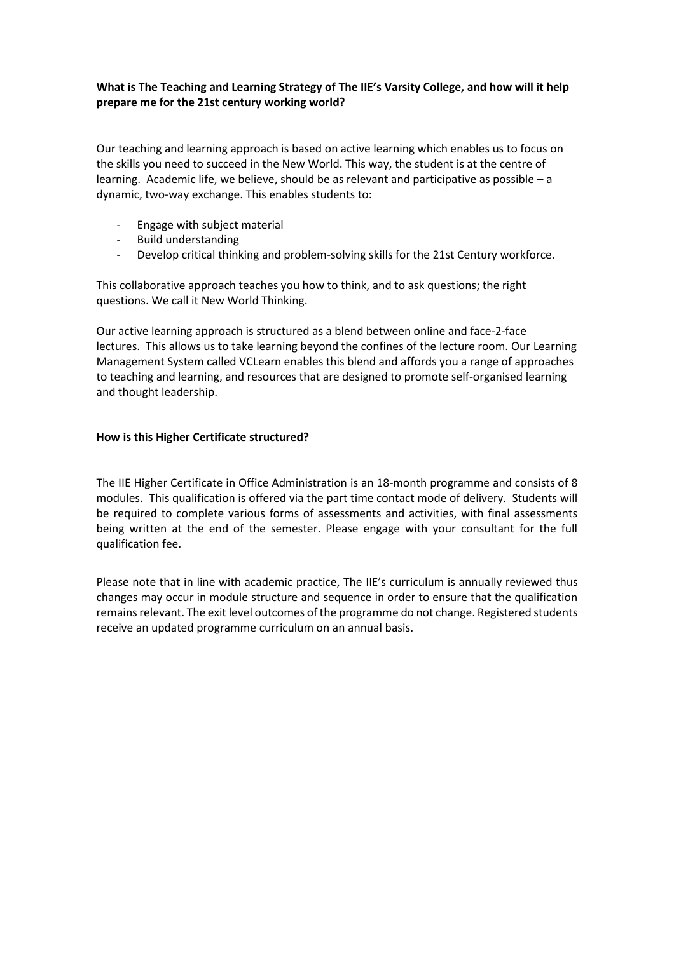#### **What is The Teaching and Learning Strategy of The IIE's Varsity College, and how will it help prepare me for the 21st century working world?**

Our teaching and learning approach is based on active learning which enables us to focus on the skills you need to succeed in the New World. This way, the student is at the centre of learning. Academic life, we believe, should be as relevant and participative as possible – a dynamic, two-way exchange. This enables students to:

- Engage with subject material
- Build understanding
- Develop critical thinking and problem-solving skills for the 21st Century workforce.

This collaborative approach teaches you how to think, and to ask questions; the right questions. We call it New World Thinking.

Our active learning approach is structured as a blend between online and face-2-face lectures. This allows us to take learning beyond the confines of the lecture room. Our Learning Management System called VCLearn enables this blend and affords you a range of approaches to teaching and learning, and resources that are designed to promote self-organised learning and thought leadership.

#### **How is this Higher Certificate structured?**

The IIE Higher Certificate in Office Administration is an 18-month programme and consists of 8 modules. This qualification is offered via the part time contact mode of delivery. Students will be required to complete various forms of assessments and activities, with final assessments being written at the end of the semester. Please engage with your consultant for the full qualification fee.

Please note that in line with academic practice, The IIE's curriculum is annually reviewed thus changes may occur in module structure and sequence in order to ensure that the qualification remains relevant. The exit level outcomes of the programme do not change. Registered students receive an updated programme curriculum on an annual basis.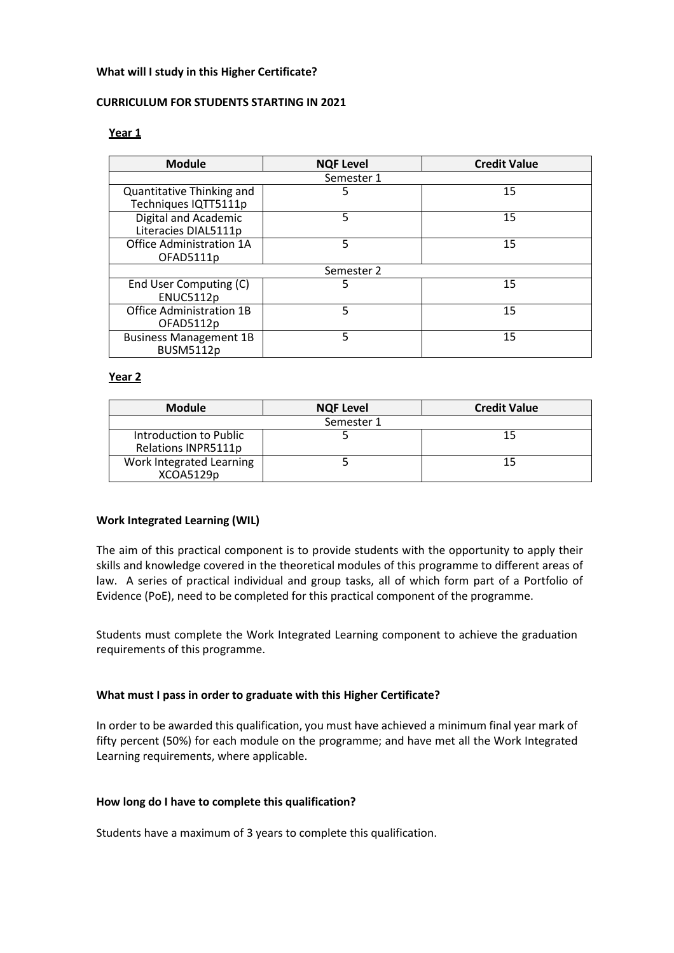#### **What will I study in this Higher Certificate?**

#### **CURRICULUM FOR STUDENTS STARTING IN 2021**

#### **Year 1**

| <b>Module</b>                                     | <b>NQF Level</b> | <b>Credit Value</b> |  |  |  |  |
|---------------------------------------------------|------------------|---------------------|--|--|--|--|
| Semester 1                                        |                  |                     |  |  |  |  |
| Quantitative Thinking and<br>Techniques IQTT5111p | 5                | 15                  |  |  |  |  |
| Digital and Academic<br>Literacies DIAL5111p      | 5                | 15                  |  |  |  |  |
| Office Administration 1A<br>OFAD5111p             | 5                | 15                  |  |  |  |  |
| Semester 2                                        |                  |                     |  |  |  |  |
| End User Computing (C)<br>ENUC5112p               | 5                | 15                  |  |  |  |  |
| <b>Office Administration 1B</b><br>OFAD5112p      | 5                | 15                  |  |  |  |  |
| <b>Business Management 1B</b><br><b>BUSM5112p</b> | 5                | 15                  |  |  |  |  |

#### **Year 2**

| <b>Module</b>                                 | <b>NQF Level</b> | <b>Credit Value</b> |  |  |
|-----------------------------------------------|------------------|---------------------|--|--|
| Semester 1                                    |                  |                     |  |  |
| Introduction to Public<br>Relations INPR5111p |                  |                     |  |  |
| Work Integrated Learning<br>XCOA5129p         |                  |                     |  |  |

#### **Work Integrated Learning (WIL)**

The aim of this practical component is to provide students with the opportunity to apply their skills and knowledge covered in the theoretical modules of this programme to different areas of law. A series of practical individual and group tasks, all of which form part of a Portfolio of Evidence (PoE), need to be completed for this practical component of the programme.

Students must complete the Work Integrated Learning component to achieve the graduation requirements of this programme.

#### **What must I pass in order to graduate with this Higher Certificate?**

In order to be awarded this qualification, you must have achieved a minimum final year mark of fifty percent (50%) for each module on the programme; and have met all the Work Integrated Learning requirements, where applicable.

#### **How long do I have to complete this qualification?**

Students have a maximum of 3 years to complete this qualification.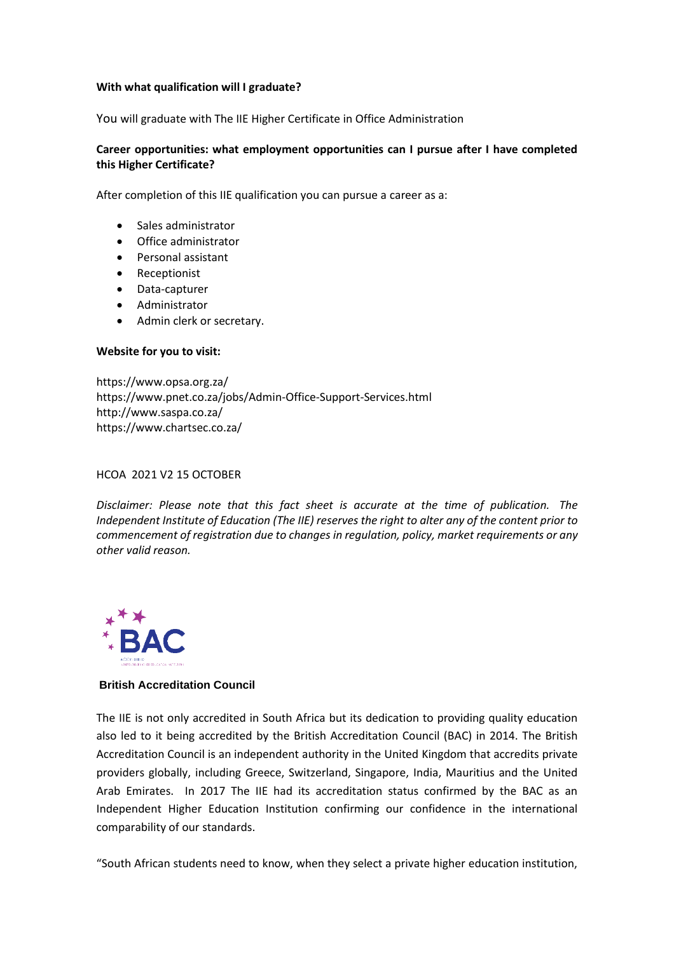#### **With what qualification will I graduate?**

You will graduate with The IIE Higher Certificate in Office Administration

#### **Career opportunities: what employment opportunities can I pursue after I have completed this Higher Certificate?**

After completion of this IIE qualification you can pursue a career as a:

- Sales administrator
- Office administrator
- Personal assistant
- Receptionist
- Data-capturer
- Administrator
- Admin clerk or secretary.

#### **Website for you to visit:**

<https://www.opsa.org.za/> <https://www.pnet.co.za/jobs/Admin-Office-Support-Services.html> <http://www.saspa.co.za/> <https://www.chartsec.co.za/>

#### HCOA 2021 V2 15 OCTOBER

*Disclaimer: Please note that this fact sheet is accurate at the time of publication. The Independent Institute of Education (The IIE) reserves the right to alter any of the content prior to commencement of registration due to changes in regulation, policy, market requirements or any other valid reason.* 



#### **British Accreditation Council**

The IIE is not only accredited in South Africa but its dedication to providing quality education also led to it being accredited by the British Accreditation Council (BAC) in 2014. The British Accreditation Council is an independent authority in the United Kingdom that accredits private providers globally, including Greece, Switzerland, Singapore, India, Mauritius and the United Arab Emirates. In 2017 The IIE had its accreditation status confirmed by the BAC as an Independent Higher Education Institution confirming our confidence in the international comparability of our standards.

"South African students need to know, when they select a private higher education institution,